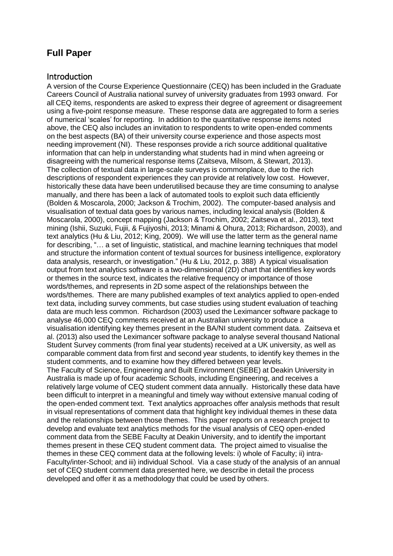# **Full Paper**

# Introduction

A version of the Course Experience Questionnaire (CEQ) has been included in the Graduate Careers Council of Australia national survey of university graduates from 1993 onward. For all CEQ items, respondents are asked to express their degree of agreement or disagreement using a five-point response measure. These response data are aggregated to form a series of numerical 'scales' for reporting. In addition to the quantitative response items noted above, the CEQ also includes an invitation to respondents to write open-ended comments on the best aspects (BA) of their university course experience and those aspects most needing improvement (NI). These responses provide a rich source additional qualitative information that can help in understanding what students had in mind when agreeing or disagreeing with the numerical response items [\(Zaitseva,](#page-7-0) Milsom, & Stewart, 2013). The collection of textual data in large-scale surveys is commonplace, due to the rich descriptions of respondent experiences they can provide at relatively low cost. However, historically these data have been underutilised because they are time consuming to analyse manually, and there has been a lack of automated tools to exploit such data efficientl[y](#page-7-1) (Bolden & [Moscarola,](#page-7-1) 2000; Jackson & [Trochim,](#page-7-2) 2002). The computer-based analysis and visualisation of textual data goes by various names, including lexical analysis [\(Bolden](#page-7-1) & [Moscarola,](#page-7-1) 2000), concept mapping (Jackson & [Trochim,](#page-7-2) 2002; [Zaitseva](#page-7-0) et al., 2013), text mining (Ishii, Suzuki, Fujii, & [Fujiyoshi,](#page-7-3) 2013; [Minami](#page-7-4) & Ohura, 2013; [Richardson,](#page-7-5) 2003), and text analytics (Hu & Liu, [2012;](#page-7-6) King, [2009\)](#page-7-7). We will use the latter term as the general name for describing, "… a set of linguistic, statistical, and machine learning techniques that model and structure the information content of textual sources for business intelligence, exploratory data analysis, research, or investigation." (Hu & Liu, [2012,](#page-7-6) p. 388) A typical visualisation output from text analytics software is a two-dimensional (2D) chart that identifies key words or themes in the source text, indicates the relative frequency or importance of those words/themes, and represents in 2D some aspect of the relationships between the words/themes. There are many published examples of text analytics applied to open-ended text data, including survey comments, but case studies using student evaluation of teaching data are much less common. [Richardson](#page-7-5) (2003) used the Leximancer software package to analyse 46,000 CEQ comments received at an Australian university to produce a visualisation identifying key themes present in the BA/NI student comment data. [Zaitseva](#page-7-0) et al. (2013) also used the Leximancer software package to analyse several thousand National Student Survey comments (from final year students) received at a UK university, as well as comparable comment data from first and second year students, to identify key themes in the student comments, and to examine how they differed between year levels. The Faculty of Science, Engineering and Built Environment (SEBE) at Deakin University in Australia is made up of four academic Schools, including Engineering, and receives a relatively large volume of CEQ student comment data annually. Historically these data have been difficult to interpret in a meaningful and timely way without extensive manual coding of the open-ended comment text. Text analytics approaches offer analysis methods that result in visual representations of comment data that highlight key individual themes in these data and the relationships between those themes. This paper reports on a research project to develop and evaluate text analytics methods for the visual analysis of CEQ open-ended comment data from the SEBE Faculty at Deakin University, and to identify the important themes present in these CEQ student comment data. The project aimed to visualise the themes in these CEQ comment data at the following levels: i) whole of Faculty; ii) intra-Faculty/inter-School; and iii) individual School. Via a case study of the analysis of an annual set of CEQ student comment data presented here, we describe in detail the process developed and offer it as a methodology that could be used by others.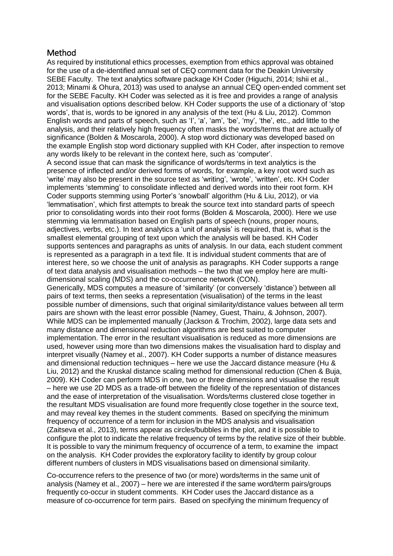# Method

As required by institutional ethics processes, exemption from ethics approval was obtained for the use of a de-identified annual set of CEQ comment data for the Deakin University SEBE Faculty. The text analytics software package KH Coder [\(Higuchi,](#page-7-8) 2014; [Ishii](#page-7-3) et al., [2013;](#page-7-3) [Minami](#page-7-4) & Ohura, 2013) was used to analyse an annual CEQ open-ended comment set for the SEBE Faculty. KH Coder was selected as it is free and provides a range of analysis and visualisation options described below. KH Coder supports the use of a dictionary of 'stop words', that is, words to be ignored in any analysis of the text (Hu & [Liu,](#page-7-6) [2012\)](#page-7-6). Common English words and parts of speech, such as 'I', 'a', 'am', 'be', 'my', 'the', etc., add little to the analysis, and their relatively high frequency often masks the words/terms that are actually of significance (Bolden & [Moscarola,](#page-7-1) 2000). A stop word dictionary was developed based on the example English stop word dictionary supplied with KH Coder, after inspection to remove any words likely to be relevant in the context here, such as 'computer'.

A second issue that can mask the significance of words/terms in text analytics is the presence of inflected and/or derived forms of words, for example, a key root word such as 'write' may also be present in the source text as 'writing', 'wrote', 'written', etc. KH Coder implements 'stemming' to consolidate inflected and derived words into their root form. KH Coder supports stemming using Porter's 'snowball' algorithm (Hu & Liu, [2012\)](#page-7-6), or via 'lemmatisation', which first attempts to break the source text into standard parts of speech prior to consolidating words into their root forms (Bolden & [Moscarola,](#page-7-1) 2000). Here we use stemming via lemmatisation based on English parts of speech (nouns, proper nouns, adjectives, verbs, etc.). In text analytics a 'unit of analysis' is required, that is, what is the smallest elemental grouping of text upon which the analysis will be based. KH Coder supports sentences and paragraphs as units of analysis. In our data, each student comment is represented as a paragraph in a text file. It is individual student comments that are of interest here, so we choose the unit of analysis as paragraphs. KH Coder supports a range of text data analysis and visualisation methods – the two that we employ here are multidimensional scaling (MDS) and the co-occurrence network (CON).

Generically, MDS computes a measure of 'similarity' (or conversely 'distance') between all pairs of text terms, then seeks a representation (visualisation) of the terms in the least possible number of dimensions, such that original similarity/distance values between all term pairs are shown with the least error possible (Namey, Guest, Thairu, & [Johnson,](#page-7-9) 2007). While MDS can be implemented manually [\(Jackson](#page-7-2) & Trochim, 2002), large data sets and many distance and dimensional reduction algorithms are best suited to computer implementation. The error in the resultant visualisation is reduced as more dimensions are used, however using more than two dimensions makes the visualisation hard to display and interpret visually [\(Namey](#page-7-9) et al., 2007). KH Coder supports a number of distance measures and dimensional reduction techniques – here we use the Jaccard distance measure [\(Hu](#page-7-6) & Liu, [2012\)](#page-7-6) and the Kruskal distance scaling method for dimensional reduction [\(Chen](#page-7-10) & Buja, [2009\)](#page-7-10). KH Coder can perform MDS in one, two or three dimensions and visualise the result – here we use 2D MDS as a trade-off between the fidelity of the representation of distances and the ease of interpretation of the visualisation. Words/terms clustered close together in the resultant MDS visualisation are found more frequently close together in the source text, and may reveal key themes in the student comments. Based on specifying the minimum frequency of occurrence of a term for inclusion in the MDS analysis and visualisatio[n](#page-7-0) [\(Zaitseva](#page-7-0) et al., 2013), terms appear as circles/bubbles in the plot, and it is possible to configure the plot to indicate the relative frequency of terms by the relative size of their bubble. It is possible to vary the minimum frequency of occurrence of a term, to examine the impact on the analysis. KH Coder provides the exploratory facility to identify by group colour different numbers of clusters in MDS visualisations based on dimensional similarity.

Co-occurrence refers to the presence of two (or more) words/terms in the same unit of analysis [\(Namey](#page-7-9) et al., 2007) – here we are interested if the same word/term pairs/groups frequently co-occur in student comments. KH Coder uses the Jaccard distance as a measure of co-occurrence for term pairs. Based on specifying the minimum frequency of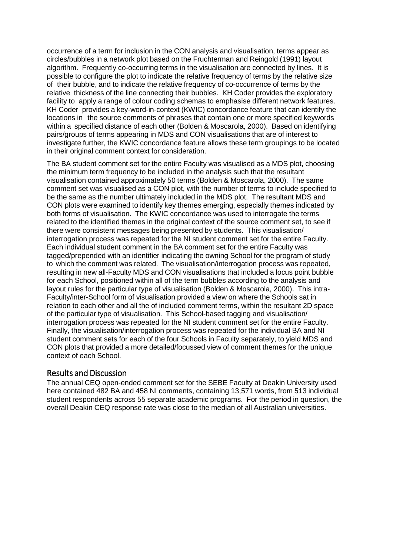occurrence of a term for inclusion in the CON analysis and visualisation, terms appear as circles/bubbles in a network plot based on the [Fruchterman](#page-7-11) and Reingold (1991) layout algorithm. Frequently co-occurring terms in the visualisation are connected by lines. It is possible to configure the plot to indicate the relative frequency of terms by the relative size of their bubble, and to indicate the relative frequency of co-occurrence of terms by the relative thickness of the line connecting their bubbles. KH Coder provides the exploratory facility to apply a range of colour coding schemas to emphasise different network features. KH Coder provides a key-word-in-context (KWIC) concordance feature that can identify the locations in the source comments of phrases that contain one or more specified keywords within a specified distance of each other (Bolden & [Moscarola,](#page-7-1) 2000). Based on identifying pairs/groups of terms appearing in MDS and CON visualisations that are of interest to investigate further, the KWIC concordance feature allows these term groupings to be located in their original comment context for consideration.

The BA student comment set for the entire Faculty was visualised as a MDS plot, choosing the minimum term frequency to be included in the analysis such that the resultant visualisation contained approximately 50 terms (Bolden & [Moscarola,](#page-7-1) 2000). The same comment set was visualised as a CON plot, with the number of terms to include specified to be the same as the number ultimately included in the MDS plot. The resultant MDS and CON plots were examined to identify key themes emerging, especially themes indicated by both forms of visualisation. The KWIC concordance was used to interrogate the terms related to the identified themes in the original context of the source comment set, to see if there were consistent messages being presented by students. This visualisation/ interrogation process was repeated for the NI student comment set for the entire Faculty. Each individual student comment in the BA comment set for the entire Faculty was tagged/prepended with an identifier indicating the owning School for the program of study to which the comment was related. The visualisation/interrogation process was repeated, resulting in new all-Faculty MDS and CON visualisations that included a locus point bubble for each School, positioned within all of the term bubbles according to the analysis and layout rules for the particular type of visualisation (Bolden & [Moscarola,](#page-7-1) 2000). This intra-Faculty/inter-School form of visualisation provided a view on where the Schools sat in relation to each other and all the of included comment terms, within the resultant 2D space of the particular type of visualisation. This School-based tagging and visualisation/ interrogation process was repeated for the NI student comment set for the entire Faculty. Finally, the visualisation/interrogation process was repeated for the individual BA and NI student comment sets for each of the four Schools in Faculty separately, to yield MDS and CON plots that provided a more detailed/focussed view of comment themes for the unique context of each School.

## Results and Discussion

The annual CEQ open-ended comment set for the SEBE Faculty at Deakin University used here contained 482 BA and 458 NI comments, containing 13,571 words, from 513 individual student respondents across 55 separate academic programs. For the period in question, the overall Deakin CEQ response rate was close to the median of all Australian universities.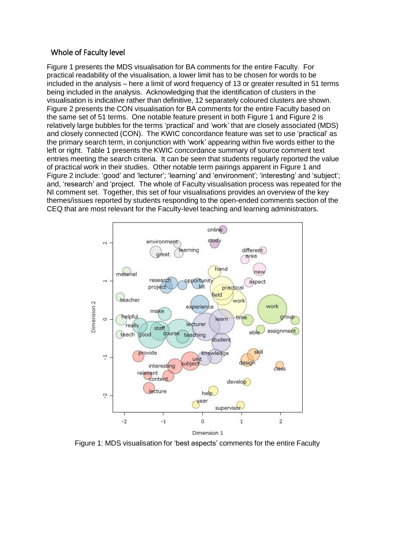#### Whole of Faculty level

Figure 1 presents the MDS visualisation for BA comments for the entire Faculty. For practical readability of the visualisation, a lower limit has to be chosen for words to be included in the analysis – here a limit of word frequency of 13 or greater resulted in 51 terms being included in the analysis. Acknowledging that the identification of clusters in the visualisation is indicative rather than definitive, 12 separately coloured clusters are shown. Figure 2 presents the CON visualisation for BA comments for the entire Faculty based on the same set of 51 terms. One notable feature present in both Figure 1 and Figure 2 is relatively large bubbles for the terms 'practical' and 'work' that are closely associated (MDS) and closely connected (CON). The KWIC concordance feature was set to use 'practical' as the primary search term, in conjunction with 'work' appearing within five words either to the left or right. Table 1 presents the KWIC concordance summary of source comment text entries meeting the search criteria. It can be seen that students regularly reported the value of practical work in their studies. Other notable term pairings apparent in Figure 1 and Figure 2 include: 'good' and 'lecturer'; 'learning' and 'environment'; 'interesting' and 'subject'; and, 'research' and 'project. The whole of Faculty visualisation process was repeated for the NI comment set. Together, this set of four visualisations provides an overview of the key themes/issues reported by students responding to the open-ended comments section of the CEQ that are most relevant for the Faculty-level teaching and learning administrators.



Figure 1: MDS visualisation for 'best aspects' comments for the entire Faculty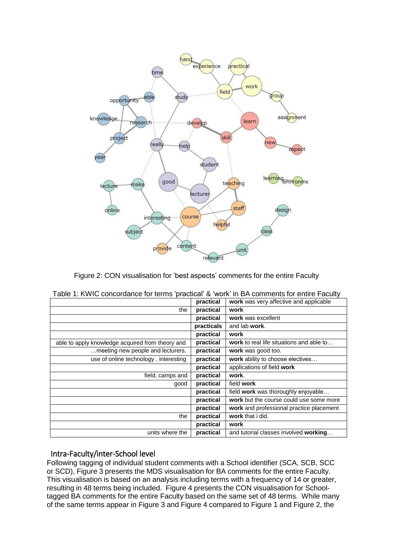

Figure 2: CON visualisation for 'best aspects' comments for the entire Faculty

|            | ו מטוס דו דו סווייט טעופטועט וואס טענטער מיטור ווי דער טעווויוט וואס וואס טענער ווי דער סווייט ווי טענ |
|------------|--------------------------------------------------------------------------------------------------------|
| practical  | work was very affective and applicable                                                                 |
| practical  | work                                                                                                   |
| practical  | work was excellent                                                                                     |
| practicals | and lab work.                                                                                          |
| practical  | work                                                                                                   |
| practical  | work to real life situations and able to                                                               |
| practical  | work was good too.                                                                                     |
| practical  | work ability to choose electives                                                                       |
| practical  | applications of field work                                                                             |
| practical  | work.                                                                                                  |
| practical  | field work                                                                                             |
| practical  | field work was thoroughly enjoyable                                                                    |
| practical  | work but the course could use some more                                                                |
| practical  | work and professional practice placement                                                               |
| practical  | work that i did.                                                                                       |
| practical  | work                                                                                                   |
| practical  | and tutorial classes involved working                                                                  |
|            |                                                                                                        |

| Table 1: KWIC concordance for terms 'practical' & 'work' in BA comments for entire Faculty |  |  |
|--------------------------------------------------------------------------------------------|--|--|
|--------------------------------------------------------------------------------------------|--|--|

#### Intra-Faculty/inter-School level

Following tagging of individual student comments with a School identifier (SCA, SCB, SCC or SCD), Figure 3 presents the MDS visualisation for BA comments for the entire Faculty. This visualisation is based on an analysis including terms with a frequency of 14 or greater, resulting in 48 terms being included. Figure 4 presents the CON visualisation for Schooltagged BA comments for the entire Faculty based on the same set of 48 terms. While many of the same terms appear in Figure 3 and Figure 4 compared to Figure 1 and Figure 2, the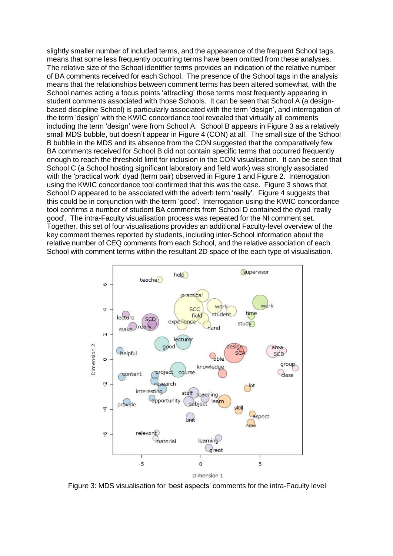slightly smaller number of included terms, and the appearance of the frequent School tags, means that some less frequently occurring terms have been omitted from these analyses. The relative size of the School identifier terms provides an indication of the relative number of BA comments received for each School. The presence of the School tags in the analysis means that the relationships between comment terms has been altered somewhat, with the School names acting a focus points 'attracting' those terms most frequently appearing in student comments associated with those Schools. It can be seen that School A (a designbased discipline School) is particularly associated with the term 'design', and interrogation of the term 'design' with the KWIC concordance tool revealed that virtually all comments including the term 'design' were from School A. School B appears in Figure 3 as a relatively small MDS bubble, but doesn't appear in Figure 4 (CON) at all. The small size of the School B bubble in the MDS and its absence from the CON suggested that the comparatively few BA comments received for School B did not contain specific terms that occurred frequently enough to reach the threshold limit for inclusion in the CON visualisation. It can be seen that School C (a School hosting significant laboratory and field work) was strongly associated with the 'practical work' dyad (term pair) observed in Figure 1 and Figure 2. Interrogation using the KWIC concordance tool confirmed that this was the case. Figure 3 shows that School D appeared to be associated with the adverb term 'really'. Figure 4 suggests that this could be in conjunction with the term 'good'. Interrogation using the KWIC concordance tool confirms a number of student BA comments from School D contained the dyad 'really good'. The intra-Faculty visualisation process was repeated for the NI comment set. Together, this set of four visualisations provides an additional Faculty-level overview of the key comment themes reported by students, including inter-School information about the relative number of CEQ comments from each School, and the relative association of each School with comment terms within the resultant 2D space of the each type of visualisation.



Figure 3: MDS visualisation for 'best aspects' comments for the intra-Faculty level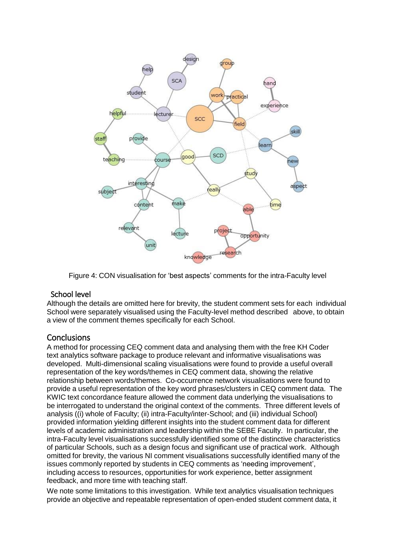

Figure 4: CON visualisation for 'best aspects' comments for the intra-Faculty level

## School level

Although the details are omitted here for brevity, the student comment sets for each individual School were separately visualised using the Faculty-level method described above, to obtain a view of the comment themes specifically for each School.

## **Conclusions**

A method for processing CEQ comment data and analysing them with the free KH Coder text analytics software package to produce relevant and informative visualisations was developed. Multi-dimensional scaling visualisations were found to provide a useful overall representation of the key words/themes in CEQ comment data, showing the relative relationship between words/themes. Co-occurrence network visualisations were found to provide a useful representation of the key word phrases/clusters in CEQ comment data. The KWIC text concordance feature allowed the comment data underlying the visualisations to be interrogated to understand the original context of the comments. Three different levels of analysis ((i) whole of Faculty; (ii) intra-Faculty/inter-School; and (iii) individual School) provided information yielding different insights into the student comment data for different levels of academic administration and leadership within the SEBE Faculty. In particular, the intra-Faculty level visualisations successfully identified some of the distinctive characteristics of particular Schools, such as a design focus and significant use of practical work. Although omitted for brevity, the various NI comment visualisations successfully identified many of the issues commonly reported by students in CEQ comments as 'needing improvement', including access to resources, opportunities for work experience, better assignment feedback, and more time with teaching staff.

We note some limitations to this investigation. While text analytics visualisation techniques provide an objective and repeatable representation of open-ended student comment data, it